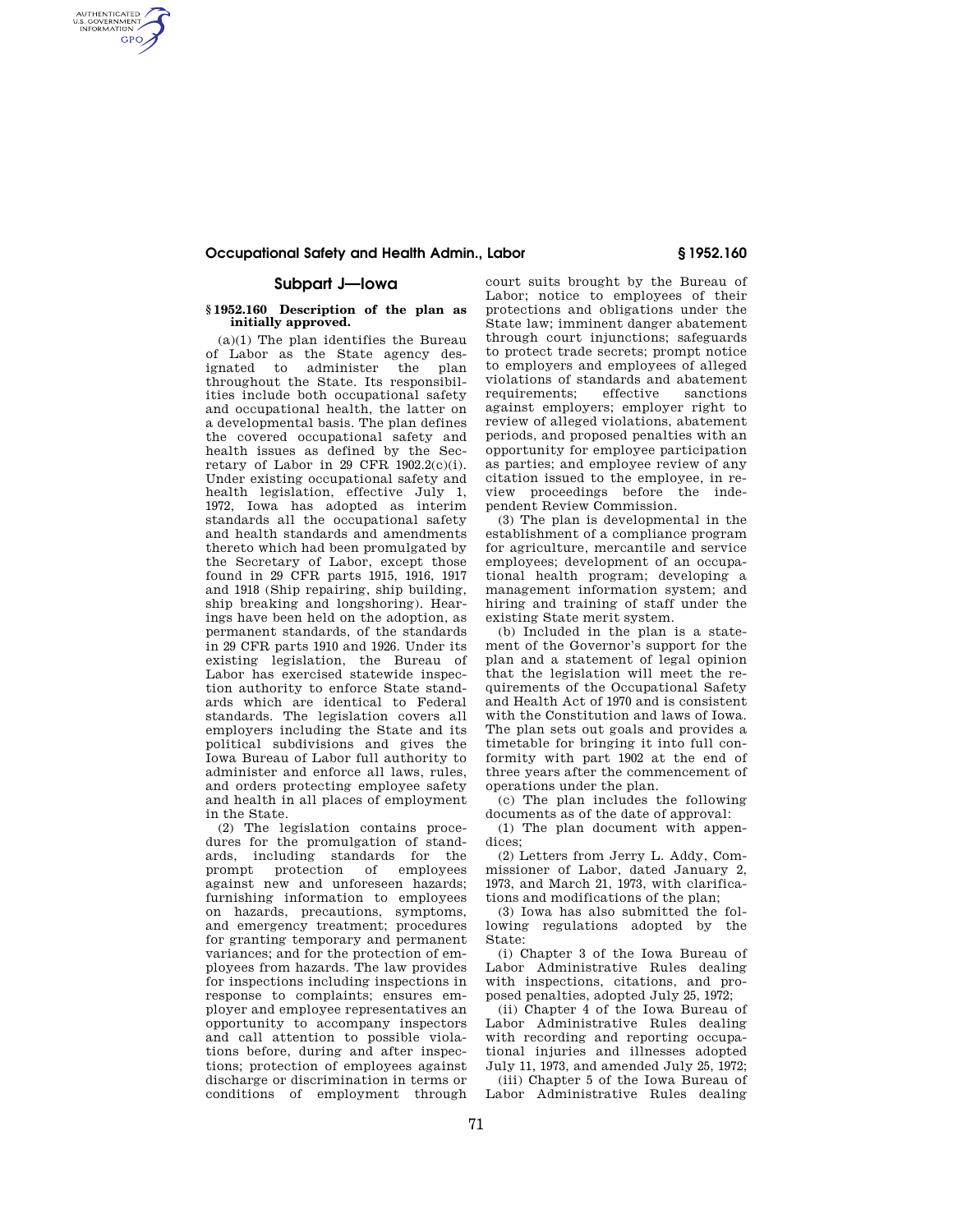## **Occupational Safety and Health Admin., Labor § 1952.160**

# **Subpart J—Iowa**

AUTHENTICATED<br>U.S. GOVERNMENT<br>INFORMATION **GPO** 

### **§ 1952.160 Description of the plan as initially approved.**

 $(a)(1)$  The plan identifies the Bureau of Labor as the State agency designated to administer the plan throughout the State. Its responsibilities include both occupational safety and occupational health, the latter on a developmental basis. The plan defines the covered occupational safety and health issues as defined by the Secretary of Labor in 29 CFR 1902.2(c)(i). Under existing occupational safety and health legislation, effective July 1, 1972, Iowa has adopted as interim standards all the occupational safety and health standards and amendments thereto which had been promulgated by the Secretary of Labor, except those found in 29 CFR parts 1915, 1916, 1917 and 1918 (Ship repairing, ship building, ship breaking and longshoring). Hearings have been held on the adoption, as permanent standards, of the standards in 29 CFR parts 1910 and 1926. Under its existing legislation, the Bureau of Labor has exercised statewide inspection authority to enforce State standards which are identical to Federal standards. The legislation covers all employers including the State and its political subdivisions and gives the Iowa Bureau of Labor full authority to administer and enforce all laws, rules, and orders protecting employee safety and health in all places of employment in the State.

(2) The legislation contains procedures for the promulgation of standards, including standards for the protection of employees against new and unforeseen hazards; furnishing information to employees on hazards, precautions, symptoms, and emergency treatment; procedures for granting temporary and permanent variances; and for the protection of employees from hazards. The law provides for inspections including inspections in response to complaints; ensures employer and employee representatives an opportunity to accompany inspectors and call attention to possible violations before, during and after inspections; protection of employees against discharge or discrimination in terms or conditions of employment through

court suits brought by the Bureau of Labor; notice to employees of their protections and obligations under the State law; imminent danger abatement through court injunctions; safeguards to protect trade secrets; prompt notice to employers and employees of alleged violations of standards and abatement<br>requirements: effective sanctions requirements; effective sanctions against employers; employer right to review of alleged violations, abatement periods, and proposed penalties with an opportunity for employee participation as parties; and employee review of any citation issued to the employee, in review proceedings before the independent Review Commission.

(3) The plan is developmental in the establishment of a compliance program for agriculture, mercantile and service employees; development of an occupational health program; developing a management information system; and hiring and training of staff under the existing State merit system.

(b) Included in the plan is a statement of the Governor's support for the plan and a statement of legal opinion that the legislation will meet the requirements of the Occupational Safety and Health Act of 1970 and is consistent with the Constitution and laws of Iowa. The plan sets out goals and provides a timetable for bringing it into full conformity with part 1902 at the end of three years after the commencement of operations under the plan.

(c) The plan includes the following documents as of the date of approval:

(1) The plan document with appendices;

(2) Letters from Jerry L. Addy, Commissioner of Labor, dated January 2, 1973, and March 21, 1973, with clarifications and modifications of the plan;

(3) Iowa has also submitted the following regulations adopted by the State:

(i) Chapter 3 of the Iowa Bureau of Labor Administrative Rules dealing with inspections, citations, and proposed penalties, adopted July 25, 1972;

(ii) Chapter 4 of the Iowa Bureau of Labor Administrative Rules dealing with recording and reporting occupational injuries and illnesses adopted July 11, 1973, and amended July 25, 1972;

(iii) Chapter 5 of the Iowa Bureau of Labor Administrative Rules dealing